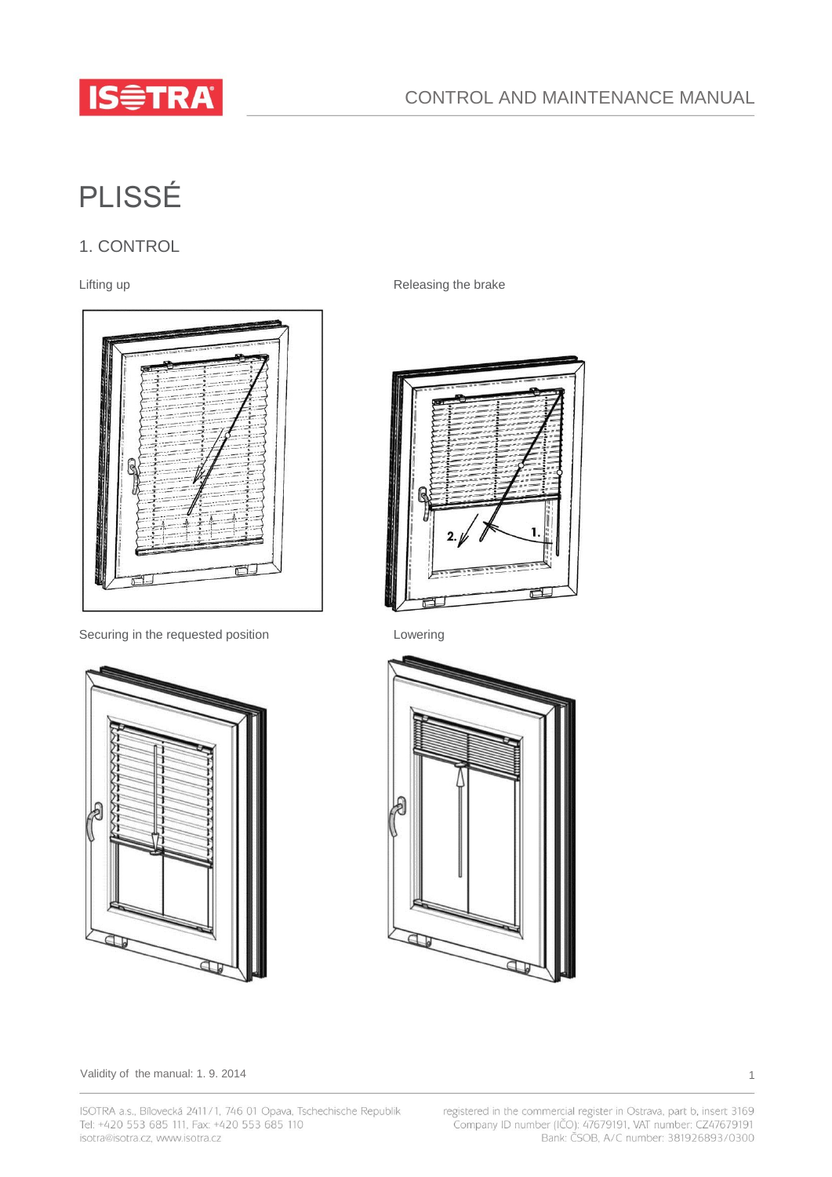

# PLISSÉ

# 1. CONTROL



Securing in the requested position **Lowering** 



Lifting up **Releasing the brake** 





Validity of the manual: 1.9.2014 1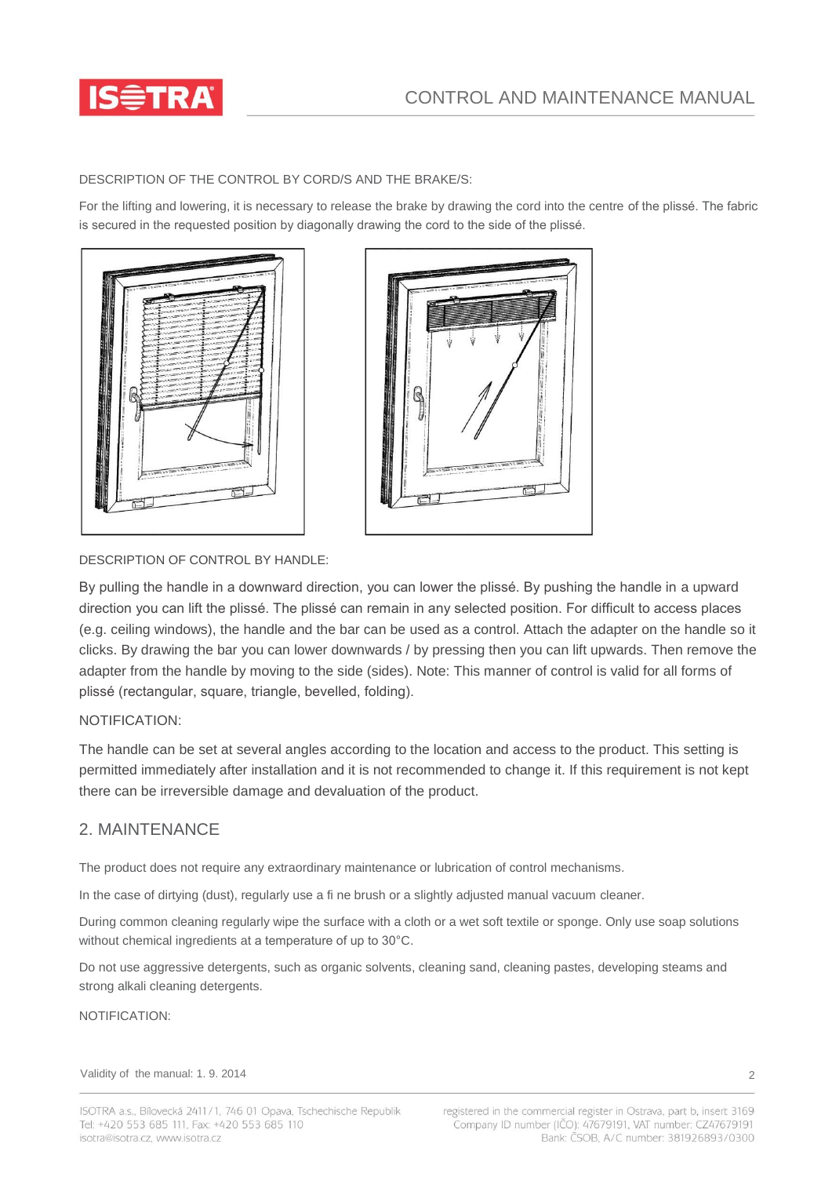

DESCRIPTION OF THE CONTROL BY CORD/S AND THE BRAKE/S:

For the lifting and lowering, it is necessary to release the brake by drawing the cord into the centre of the plissé. The fabric is secured in the requested position by diagonally drawing the cord to the side of the plissé.





## DESCRIPTION OF CONTROL BY HANDLE:

By pulling the handle in a downward direction, you can lower the plissé. By pushing the handle in a upward direction you can lift the plissé. The plissé can remain in any selected position. For difficult to access places (e.g. ceiling windows), the handle and the bar can be used as a control. Attach the adapter on the handle so it clicks. By drawing the bar you can lower downwards / by pressing then you can lift upwards. Then remove the adapter from the handle by moving to the side (sides). Note: This manner of control is valid for all forms of plissé (rectangular, square, triangle, bevelled, folding).

## NOTIFICATION:

The handle can be set at several angles according to the location and access to the product. This setting is permitted immediately after installation and it is not recommended to change it. If this requirement is not kept there can be irreversible damage and devaluation of the product.

## 2. MAINTENANCE

The product does not require any extraordinary maintenance or lubrication of control mechanisms.

In the case of dirtying (dust), regularly use a fi ne brush or a slightly adjusted manual vacuum cleaner.

During common cleaning regularly wipe the surface with a cloth or a wet soft textile or sponge. Only use soap solutions without chemical ingredients at a temperature of up to 30°C.

Do not use aggressive detergents, such as organic solvents, cleaning sand, cleaning pastes, developing steams and strong alkali cleaning detergents.

### NOTIFICATION:

Validity of the manual: 1.9.2014 2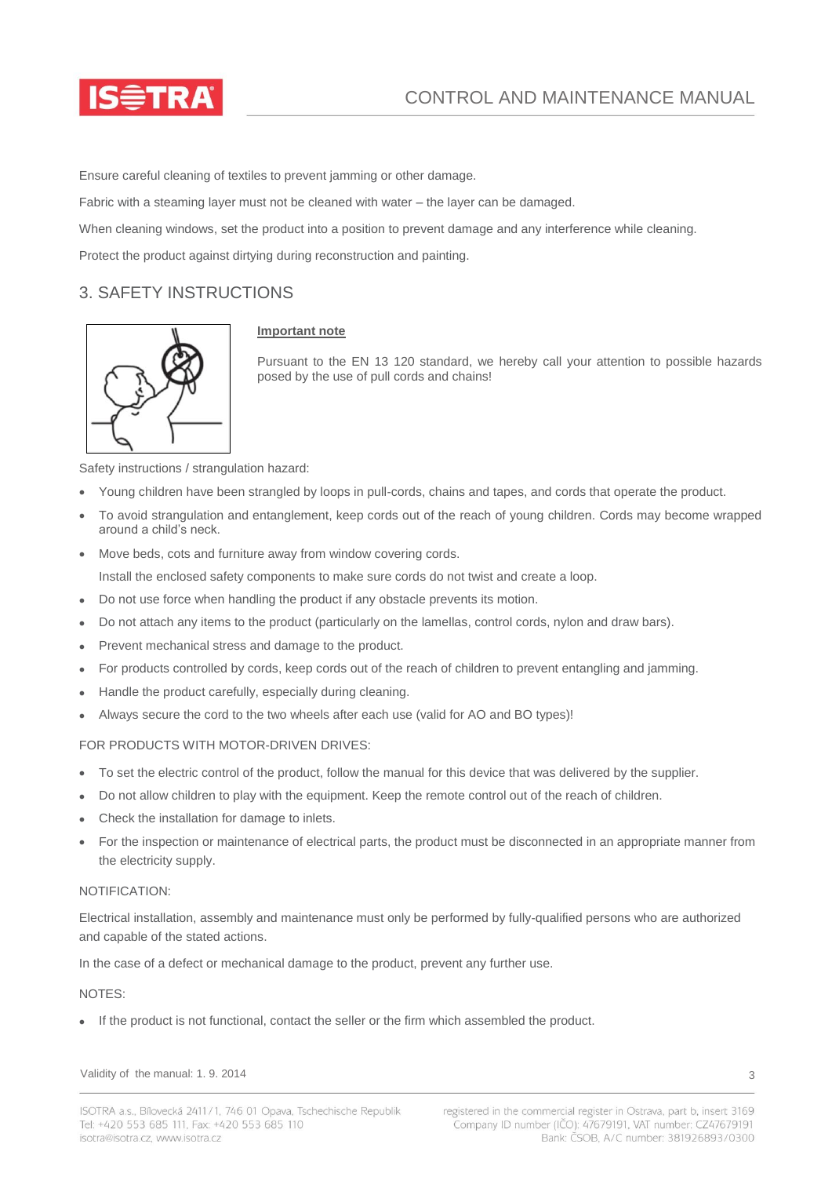

Ensure careful cleaning of textiles to prevent jamming or other damage.

Fabric with a steaming layer must not be cleaned with water – the layer can be damaged.

When cleaning windows, set the product into a position to prevent damage and any interference while cleaning.

Protect the product against dirtying during reconstruction and painting.

# 3. SAFETY INSTRUCTIONS



## **Important note**

Pursuant to the EN 13 120 standard, we hereby call your attention to possible hazards posed by the use of pull cords and chains!

Safety instructions / strangulation hazard:

- Young children have been strangled by loops in pull-cords, chains and tapes, and cords that operate the product.
- To avoid strangulation and entanglement, keep cords out of the reach of young children. Cords may become wrapped around a child's neck.
- Move beds, cots and furniture away from window covering cords.

Install the enclosed safety components to make sure cords do not twist and create a loop.

- Do not use force when handling the product if any obstacle prevents its motion.
- Do not attach any items to the product (particularly on the lamellas, control cords, nylon and draw bars).
- Prevent mechanical stress and damage to the product.
- For products controlled by cords, keep cords out of the reach of children to prevent entangling and jamming.
- Handle the product carefully, especially during cleaning.
- Always secure the cord to the two wheels after each use (valid for AO and BO types)!

## FOR PRODUCTS WITH MOTOR-DRIVEN DRIVES:

- To set the electric control of the product, follow the manual for this device that was delivered by the supplier.
- Do not allow children to play with the equipment. Keep the remote control out of the reach of children.
- Check the installation for damage to inlets.
- For the inspection or maintenance of electrical parts, the product must be disconnected in an appropriate manner from the electricity supply.

#### NOTIFICATION:

Electrical installation, assembly and maintenance must only be performed by fully-qualified persons who are authorized and capable of the stated actions.

In the case of a defect or mechanical damage to the product, prevent any further use.

#### NOTES:

If the product is not functional, contact the seller or the firm which assembled the product.

Validity of the manual: 1.9.2014 3